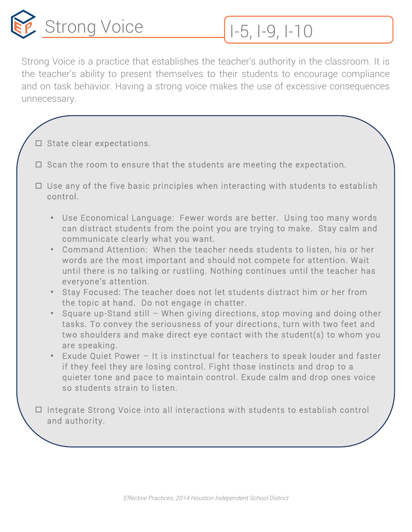

Strong Voice is a practice that establishes the teacher's authority in the classroom. It is the teacher's ability to present themselves to their students to encourage compliance and on task behavior. Having a strong voice makes the use of excessive consequences unnecessary.

- $\square$  State clear expectations.
- $\Box$  Scan the room to ensure that the students are meeting the expectation.
- $\Box$  Use any of the five basic principles when interacting with students to establish control.
	- Use Economical Language: Fewer words are better. Using too many words can distract students from the point you are trying to make. Stay calm and communicate clearly what you want.
	- Command Attention: When the teacher needs students to listen, his or her words are the most important and should not compete for attention. Wait until there is no talking or rustling. Nothing continues until the teacher has everyone's attention.
	- Stay Focused: The teacher does not let students distract him or her from the topic at hand. Do not engage in chatter.
	- Square up-Stand still When giving directions, stop moving and doing other tasks. To convey the seriousness of your directions, turn with two feet and two shoulders and make direct eye contact with the student(s) to whom you are speaking.
	- Exude Quiet Power It is instinctual for teachers to speak louder and faster if they feel they are losing control. Fight those instincts and drop to a quieter tone and pace to maintain control. Exude calm and drop ones voice so students strain to listen.

 $\Box$  Integrate Strong Voice into all interactions with students to establish control and authority.